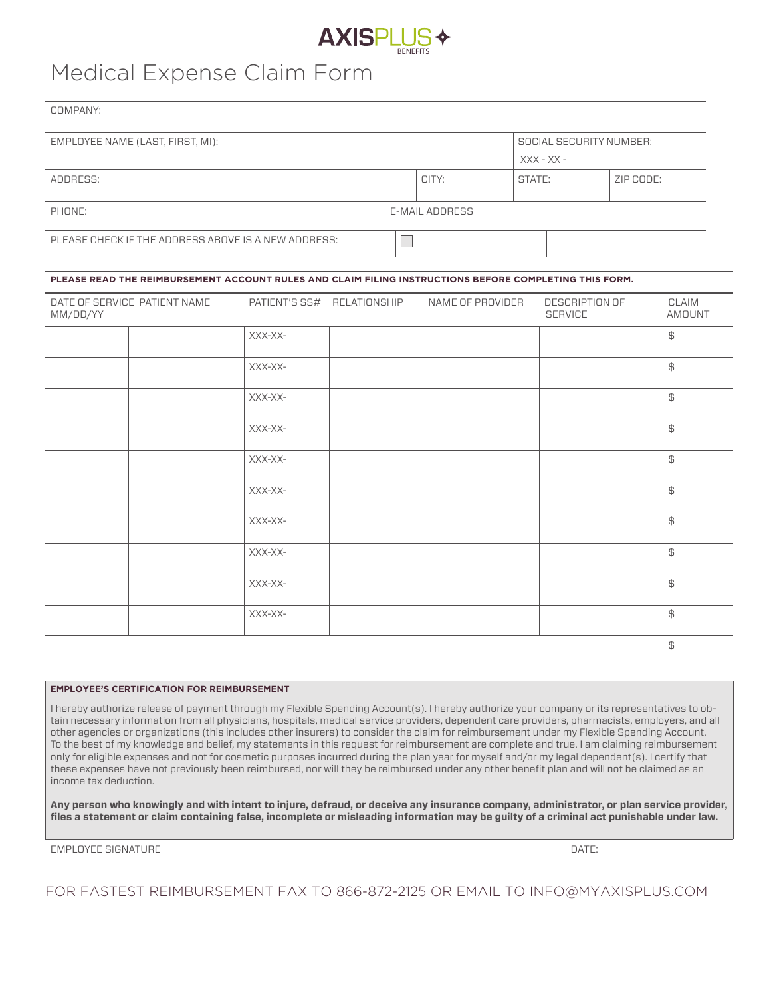

# Medical Expense Claim Form

COMPANY:

| EMPLOYEE NAME (LAST, FIRST, MI):                    | SOCIAL SECURITY NUMBER: |       |        |           |  |
|-----------------------------------------------------|-------------------------|-------|--------|-----------|--|
|                                                     | $XXX - XX -$            |       |        |           |  |
| ADDRESS:                                            |                         | CITY: | STATE: | ZIP CODE: |  |
|                                                     |                         |       |        |           |  |
| PHONE:                                              | E-MAIL ADDRESS          |       |        |           |  |
| PLEASE CHECK IF THE ADDRESS ABOVE IS A NEW ADDRESS: |                         |       |        |           |  |

#### **PLEASE READ THE REIMBURSEMENT ACCOUNT RULES AND CLAIM FILING INSTRUCTIONS BEFORE COMPLETING THIS FORM.**

| MM/DD/YY | DATE OF SERVICE PATIENT NAME | PATIENT'S SS# RELATIONSHIP | NAME OF PROVIDER | DESCRIPTION OF<br><b>SERVICE</b> | CLAIM<br>AMOUNT                                         |
|----------|------------------------------|----------------------------|------------------|----------------------------------|---------------------------------------------------------|
|          |                              | XXX-XX-                    |                  |                                  | $\uplus$                                                |
|          |                              | XXX-XX-                    |                  |                                  | $\uplus$                                                |
|          |                              | XXX-XX-                    |                  |                                  | $\uplus$                                                |
|          |                              | XXX-XX-                    |                  |                                  | $\, \oplus \,$                                          |
|          |                              | XXX-XX-                    |                  |                                  | $\, \, \raisebox{12pt}{$\, \negthinspace \mathfrak{S}}$ |
|          |                              | XXX-XX-                    |                  |                                  | \$                                                      |
|          |                              | XXX-XX-                    |                  |                                  | $\uplus$                                                |
|          |                              | XXX-XX-                    |                  |                                  | $\uplus$                                                |
|          |                              | XXX-XX-                    |                  |                                  | $\, \oplus \,$                                          |
|          |                              | XXX-XX-                    |                  |                                  | $\updownarrow$                                          |
|          |                              |                            |                  |                                  | $\updownarrow$                                          |

#### **EMPLOYEE'S CERTIFICATION FOR REIMBURSEMENT**

I hereby authorize release of payment through my Flexible Spending Account(s). I hereby authorize your company or its representatives to obtain necessary information from all physicians, hospitals, medical service providers, dependent care providers, pharmacists, employers, and all other agencies or organizations (this includes other insurers) to consider the claim for reimbursement under my Flexible Spending Account. To the best of my knowledge and belief, my statements in this request for reimbursement are complete and true. I am claiming reimbursement only for eligible expenses and not for cosmetic purposes incurred during the plan year for myself and/or my legal dependent(s). I certify that these expenses have not previously been reimbursed, nor will they be reimbursed under any other benefit plan and will not be claimed as an income tax deduction.

**Any person who knowingly and with intent to injure, defraud, or deceive any insurance company, administrator, or plan service provider, files a statement or claim containing false, incomplete or misleading information may be guilty of a criminal act punishable under law.**

EMPLOYEE SIGNATURE **DATE:** DATE:

FOR FASTEST REIMBURSEMENT FAX TO 866-872-2125 OR EMAIL TO INFO@MYAXISPLUS.COM